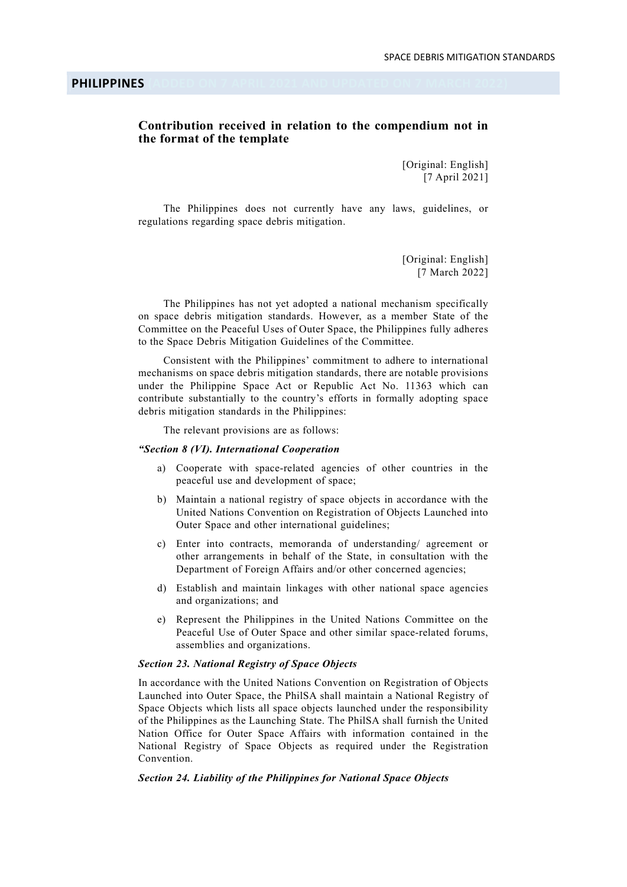PHILIPPINES (ADDED ON 7 APRIL 2021 AND UPDATED ON 7 MARCH 2022)

## Contribution received in relation to the compendium not in the format of the template

[Original: English] [7 April 2021]

 The Philippines does not currently have any laws, guidelines, or regulations regarding space debris mitigation.

> [Original: English] [7 March 2022]

 The Philippines has not yet adopted a national mechanism specifically on space debris mitigation standards. However, as a member State of the Committee on the Peaceful Uses of Outer Space, the Philippines fully adheres to the Space Debris Mitigation Guidelines of the Committee.

 Consistent with the Philippines' commitment to adhere to international mechanisms on space debris mitigation standards, there are notable provisions under the Philippine Space Act or Republic Act No. 11363 which can contribute substantially to the country's efforts in formally adopting space debris mitigation standards in the Philippines:

The relevant provisions are as follows:

## "Section 8 (VI). International Cooperation

- a) Cooperate with space-related agencies of other countries in the peaceful use and development of space;
- b) Maintain a national registry of space objects in accordance with the United Nations Convention on Registration of Objects Launched into Outer Space and other international guidelines;
- c) Enter into contracts, memoranda of understanding/ agreement or other arrangements in behalf of the State, in consultation with the Department of Foreign Affairs and/or other concerned agencies;
- d) Establish and maintain linkages with other national space agencies and organizations; and
- e) Represent the Philippines in the United Nations Committee on the Peaceful Use of Outer Space and other similar space-related forums, assemblies and organizations.

## Section 23. National Registry of Space Objects

In accordance with the United Nations Convention on Registration of Objects Launched into Outer Space, the PhilSA shall maintain a National Registry of Space Objects which lists all space objects launched under the responsibility of the Philippines as the Launching State. The PhilSA shall furnish the United Nation Office for Outer Space Affairs with information contained in the National Registry of Space Objects as required under the Registration Convention.

## Section 24. Liability of the Philippines for National Space Objects